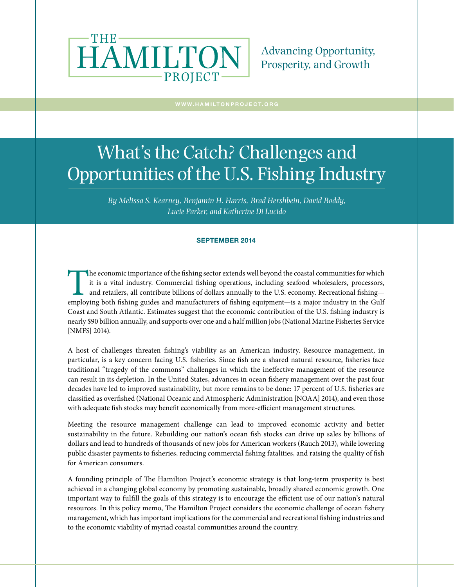

Advancing Opportunity, Prosperity, and Growth

# What's the Catch? Challenges and Opportunities of the U.S. Fishing Industry

*By Melissa S. Kearney, Benjamin H. Harris, Brad Hershbein, David Boddy, Lucie Parker, and Katherine Di Lucido* 

#### SEPTEMBER 2014

The economic importance of the fishing sector extends well beyond the coastal communities for which<br>it is a vital industry. Commercial fishing operations, including seafood wholesalers, processors,<br>and retailers, all contr it is a vital industry. Commercial fishing operations, including seafood wholesalers, processors, and retailers, all contribute billions of dollars annually to the U.S. economy. Recreational fishing employing both fishing guides and manufacturers of fishing equipment—is a major industry in the Gulf Coast and South Atlantic. Estimates suggest that the economic contribution of the U.S. fishing industry is nearly \$90 billion annually, and supports over one and a half million jobs (National Marine Fisheries Service [NMFS] 2014).

A host of challenges threaten fishing's viability as an American industry. Resource management, in particular, is a key concern facing U.S. fisheries. Since fish are a shared natural resource, fisheries face traditional "tragedy of the commons" challenges in which the ineffective management of the resource can result in its depletion. In the United States, advances in ocean fishery management over the past four decades have led to improved sustainability, but more remains to be done: 17 percent of U.S. fisheries are classified as overfished (National Oceanic and Atmospheric Administration [NOAA] 2014), and even those with adequate fish stocks may benefit economically from more-efficient management structures.

Meeting the resource management challenge can lead to improved economic activity and better sustainability in the future. Rebuilding our nation's ocean fish stocks can drive up sales by billions of dollars and lead to hundreds of thousands of new jobs for American workers (Rauch 2013), while lowering public disaster payments to fisheries, reducing commercial fishing fatalities, and raising the quality of fish for American consumers.

A founding principle of The Hamilton Project's economic strategy is that long-term prosperity is best achieved in a changing global economy by promoting sustainable, broadly shared economic growth. One important way to fulfill the goals of this strategy is to encourage the efficient use of our nation's natural resources. In this policy memo, The Hamilton Project considers the economic challenge of ocean fishery management, which has important implications for the commercial and recreational fishing industries and to the economic viability of myriad coastal communities around the country.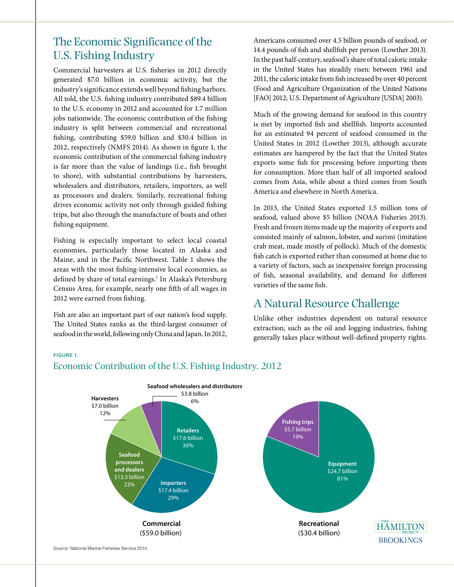# The Economic Significance of the U.S. Fishing Industry

Commercial harvesters at U.S. fisheries in 2012 directly generated \$7.0 billion in economic activity, but the industry's significance extends well beyond fishing harbors. All told, the U.S. fishing industry contributed \$89.4 billion to the U.S. economy in 2012 and accounted for 1.7 million jobs nationwide. The economic contribution of the fishing industry is split between commercial and recreational fishing, contributing \$59.0 billion and \$30.4 billion in 2012, respectively (NMFS 2014). As shown in figure 1, the economic contribution of the commercial fishing industry is far more than the value of landings (i.e., fish brought to shore), with substantial contributions by harvesters, wholesalers and distributors, retailers, importers, as well as processors and dealers. Similarly, recreational fishing drives economic activity not only through guided fishing trips, but also through the manufacture of boats and other fishing equipment.

Fishing is especially important to select local coastal economies, particularly those located in Alaska and Maine, and in the Pacific Northwest. Table 1 shows the areas with the most fishing-intensive local economies, as defined by share of total earnings.<sup>1</sup> In Alaska's Petersburg Census Area, for example, nearly one fifth of all wages in 2012 were earned from fishing.

Fish are also an important part of our nation's food supply. The United States ranks as the third-largest consumer of seafood in the world, following only China and Japan. In 2012,

Americans consumed over 4.5 billion pounds of seafood, or 14.4 pounds of fish and shellfish per person (Lowther 2013). In the past half-century, seafood's share of total caloric intake in the United States has steadily risen: between 1961 and 2011, the caloric intake from fish increased by over 40 percent (Food and Agriculture Organization of the United Nations [FAO] 2012; U.S. Department of Agriculture [USDA] 2003).

Much of the growing demand for seafood in this country is met by imported fish and shellfish. Imports accounted for an estimated 94 percent of seafood consumed in the United States in 2012 (Lowther 2013), although accurate estimates are hampered by the fact that the United States exports some fish for processing before importing them for consumption. More than half of all imported seafood comes from Asia, while about a third comes from South America and elsewhere in North America.

In 2013, the United States exported 1.5 million tons of seafood, valued above \$5 billion (NOAA Fisheries 2013). Fresh and frozen items made up the majority of exports and consisted mainly of salmon, lobster, and surimi (imitation crab meat, made mostly of pollock). Much of the domestic fish catch is exported rather than consumed at home due to a variety of factors, such as inexpensive foreign processing of fish, seasonal availability, and demand for different varieties of the same fish.

# A Natural Resource Challenge

Unlike other industries dependent on natural resource extraction, such as the oil and logging industries, fishing generally takes place without well-defined property rights.

#### FIGURE 1.





Source: National Marine Fisheries Service 2014.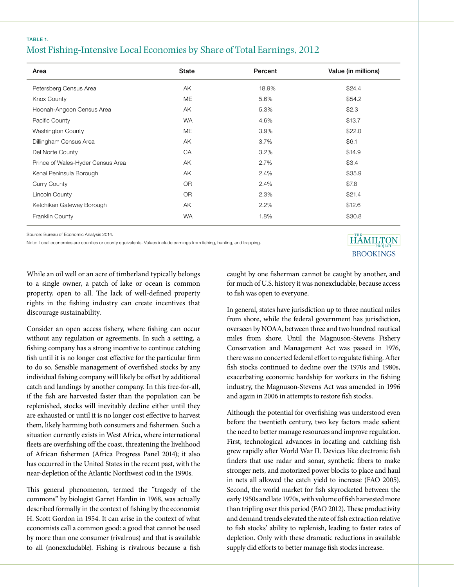### TABLE 1. Most Fishing-Intensive Local Economies by Share of Total Earnings, 2012

| Area                              | State     | Percent | Value (in millions) |
|-----------------------------------|-----------|---------|---------------------|
| Petersberg Census Area            | AK        | 18.9%   | \$24.4              |
| Knox County                       | ME        | 5.6%    | \$54.2              |
| Hoonah-Angoon Census Area         | AK        | 5.3%    | \$2.3               |
| Pacific County                    | <b>WA</b> | 4.6%    | \$13.7              |
| <b>Washington County</b>          | ME        | 3.9%    | \$22.0              |
| Dillingham Census Area            | AK        | $3.7\%$ | \$6.1               |
| Del Norte County                  | CA        | 3.2%    | \$14.9              |
| Prince of Wales-Hyder Census Area | AK        | 2.7%    | \$3.4               |
| Kenai Peninsula Borough           | AK        | 2.4%    | \$35.9              |
| <b>Curry County</b>               | OR.       | 2.4%    | \$7.8               |
| Lincoln County                    | OR.       | 2.3%    | \$21.4              |
| Ketchikan Gateway Borough         | AK        | 2.2%    | \$12.6              |
| Franklin County                   | <b>WA</b> | 1.8%    | \$30.8              |

Source: Bureau of Economic Analysis 2014.

Note: Local economies are counties or county equivalents. Values include earnings from fishing, hunting, and trapping.<br>.

# **HAMILTON BROOKINGS**

While an oil well or an acre of timberland typically belongs to a single owner, a patch of lake or ocean is common property, open to all. The lack of well-defined property rights in the fishing industry can create incentives that discourage sustainability.

Consider an open access fishery, where fishing can occur without any regulation or agreements. In such a setting, a fishing company has a strong incentive to continue catching fish until it is no longer cost effective for the particular firm to do so. Sensible management of overfished stocks by any individual fishing company will likely be offset by additional catch and landings by another company. In this free-for-all, if the fish are harvested faster than the population can be replenished, stocks will inevitably decline either until they are exhausted or until it is no longer cost effective to harvest them, likely harming both consumers and fishermen. Such a situation currently exists in West Africa, where international fleets are overfishing off the coast, threatening the livelihood of African fishermen (Africa Progress Panel 2014); it also has occurred in the United States in the recent past, with the near-depletion of the Atlantic Northwest cod in the 1990s.

This general phenomenon, termed the "tragedy of the commons" by biologist Garret Hardin in 1968, was actually described formally in the context of fishing by the economist H. Scott Gordon in 1954. It can arise in the context of what economists call a common good: a good that cannot be used by more than one consumer (rivalrous) and that is available to all (nonexcludable). Fishing is rivalrous because a fish

caught by one fisherman cannot be caught by another, and for much of U.S. history it was nonexcludable, because access to fish was open to everyone.

In general, states have jurisdiction up to three nautical miles from shore, while the federal government has jurisdiction, overseen by NOAA, between three and two hundred nautical miles from shore. Until the Magnuson-Stevens Fishery Conservation and Management Act was passed in 1976, there was no concerted federal effort to regulate fishing. After fish stocks continued to decline over the 1970s and 1980s, exacerbating economic hardship for workers in the fishing industry, the Magnuson-Stevens Act was amended in 1996 and again in 2006 in attempts to restore fish stocks.

Although the potential for overfishing was understood even before the twentieth century, two key factors made salient the need to better manage resources and improve regulation. First, technological advances in locating and catching fish grew rapidly after World War II. Devices like electronic fish finders that use radar and sonar, synthetic fibers to make stronger nets, and motorized power blocks to place and haul in nets all allowed the catch yield to increase (FAO 2005). Second, the world market for fish skyrocketed between the early 1950s and late 1970s, with volume of fish harvested more than tripling over this period (FAO 2012). These productivity and demand trends elevated the rate of fish extraction relative to fish stocks' ability to replenish, leading to faster rates of depletion. Only with these dramatic reductions in available supply did efforts to better manage fish stocks increase.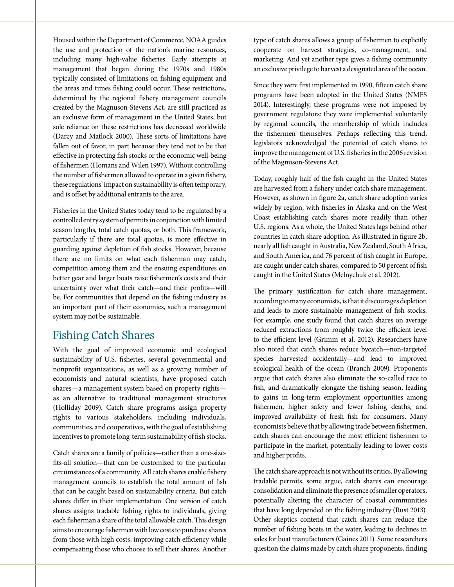Housed within the Department of Commerce, NOAA guides the use and protection of the nation's marine resources, including many high-value fisheries. Early attempts at management that began during the 1970s and 1980s typically consisted of limitations on fishing equipment and the areas and times fishing could occur. These restrictions, determined by the regional fishery management councils created by the Magnuson-Stevens Act, are still practiced as an exclusive form of management in the United States, but sole reliance on these restrictions has decreased worldwide (Darcy and Matlock 2000). These sorts of limitations have fallen out of favor, in part because they tend not to be that effective in protecting fish stocks or the economic well-being of fishermen (Homans and Wilen 1997). Without controlling the number of fishermen allowed to operate in a given fishery, these regulations' impact on sustainability is often temporary, and is offset by additional entrants to the area.

Fisheries in the United States today tend to be regulated by a controlled entry system of permits in conjunction with limited season lengths, total catch quotas, or both. This framework, particularly if there are total quotas, is more effective in guarding against depletion of fish stocks. However, because there are no limits on what each fisherman may catch, competition among them and the ensuing expenditures on better gear and larger boats raise fishermen's costs and their uncertainty over what their catch—and their profits—will be. For communities that depend on the fishing industry as an important part of their economies, such a management system may not be sustainable.

# Fishing Catch Shares

With the goal of improved economic and ecological sustainability of U.S. fisheries, several governmental and nonprofit organizations, as well as a growing number of economists and natural scientists, have proposed catch shares—a management system based on property rights as an alternative to traditional management structures (Holliday 2009). Catch share programs assign property rights to various stakeholders, including individuals, communities, and cooperatives, with the goal of establishing incentives to promote long-term sustainability of fish stocks.

Catch shares are a family of policies—rather than a one-sizefits-all solution—that can be customized to the particular circumstances of a community. All catch shares enable fishery management councils to establish the total amount of fish that can be caught based on sustainability criteria. But catch shares differ in their implementation. One version of catch shares assigns tradable fishing rights to individuals, giving each fisherman a share of the total allowable catch. This design aims to encourage fishermen with low costs to purchase shares from those with high costs, improving catch efficiency while compensating those who choose to sell their shares. Another

type of catch shares allows a group of fishermen to explicitly cooperate on harvest strategies, co-management, and marketing. And yet another type gives a fishing community an exclusive privilege to harvest a designated area of the ocean.

Since they were first implemented in 1990, fifteen catch share programs have been adopted in the United States (NMFS 2014). Interestingly, these programs were not imposed by government regulators: they were implemented voluntarily by regional councils, the membership of which includes the fishermen themselves. Perhaps reflecting this trend, legislators acknowledged the potential of catch shares to improve the management of U.S. fisheries in the 2006 revision of the Magnuson-Stevens Act.

Today, roughly half of the fish caught in the United States are harvested from a fishery under catch share management. However, as shown in figure 2a, catch share adoption varies widely by region, with fisheries in Alaska and on the West Coast establishing catch shares more readily than other U.S. regions. As a whole, the United States lags behind other countries in catch share adoption. As illustrated in figure 2b, nearly all fish caught in Australia, New Zealand, South Africa, and South America, and 76 percent of fish caught in Europe, are caught under catch shares, compared to 50 percent of fish caught in the United States (Melnychuk et al. 2012).

The primary justification for catch share management, according to many economists, is that it discourages depletion and leads to more-sustainable management of fish stocks. For example, one study found that catch shares on average reduced extractions from roughly twice the efficient level to the efficient level (Grimm et al. 2012). Researchers have also noted that catch shares reduce bycatch—non-targeted species harvested accidentally—and lead to improved ecological health of the ocean (Branch 2009). Proponents argue that catch shares also eliminate the so-called race to fish, and dramatically elongate the fishing season, leading to gains in long-term employment opportunities among fishermen, higher safety and fewer fishing deaths, and improved availability of fresh fish for consumers. Many economists believe that by allowing trade between fishermen, catch shares can encourage the most efficient fishermen to participate in the market, potentially leading to lower costs and higher profits.

The catch share approach is not without its critics. By allowing tradable permits, some argue, catch shares can encourage consolidation and eliminate the presence of smaller operators, potentially altering the character of coastal communities that have long depended on the fishing industry (Rust 2013). Other skeptics contend that catch shares can reduce the number of fishing boats in the water, leading to declines in sales for boat manufacturers (Gaines 2011). Some researchers question the claims made by catch share proponents, finding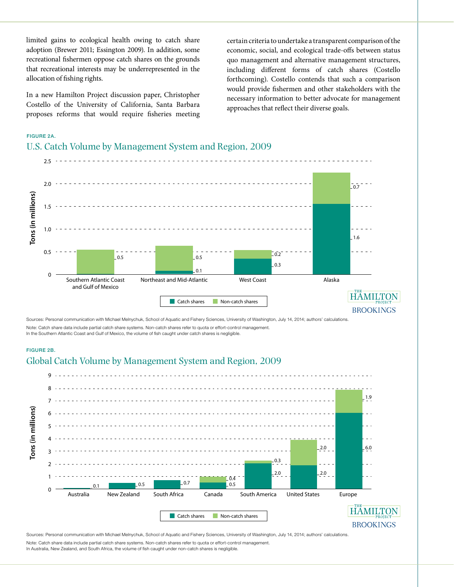limited gains to ecological health owing to catch share adoption (Brewer 2011; Essington 2009). In addition, some recreational fishermen oppose catch shares on the grounds that recreational interests may be underrepresented in the allocation of fishing rights.

In a new Hamilton Project discussion paper, Christopher Costello of the University of California, Santa Barbara proposes reforms that would require fisheries meeting certain criteria to undertake a transparent comparison of the economic, social, and ecological trade-offs between status quo management and alternative management structures, including different forms of catch shares (Costello forthcoming). Costello contends that such a comparison would provide fishermen and other stakeholders with the necessary information to better advocate for management approaches that reflect their diverse goals.

### FIGURE 2A.

### U.S. Catch Volume by Management System and Region, 2009



Sources: Personal communication with Michael Melnychuk, School of Aquatic and Fishery Sciences, University of Washington, July 14, 2014; authors' calculations Note: Catch share data include partial catch share systems. Non-catch shares refer to quota or effort-control management. In the Southern Atlantic Coast and Gulf of Mexico, the volume of fish caught under catch shares is negligible.

#### FIGURE 2B.

### Global Catch Volume by Management System and Region, 2009



Sources: Personal communication with Michael Melnychuk, School of Aquatic and Fishery Sciences, University of Washington, July 14, 2014; authors' calculations. Note: Catch share data include partial catch share systems. Non-catch shares refer to quota or effort-control management.

In Australia, New Zealand, and South Africa, the volume of fish caught under non-catch shares is negligible.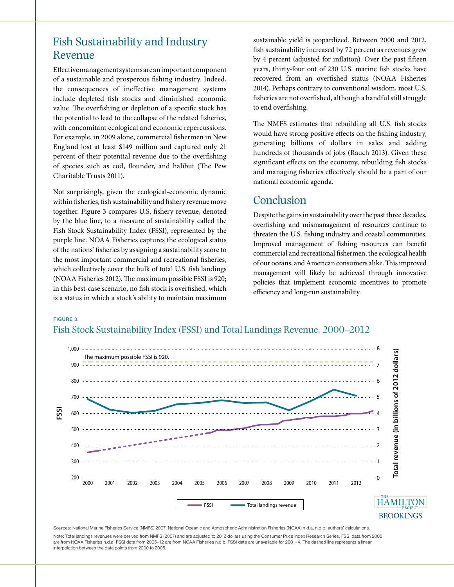# Fish Sustainability and Industry Revenue

Effective management systems are an important component of a sustainable and prosperous fishing industry. Indeed, the consequences of ineffective management systems include depleted fish stocks and diminished economic value. The overfishing or depletion of a specific stock has the potential to lead to the collapse of the related fisheries, with concomitant ecological and economic repercussions. For example, in 2009 alone, commercial fishermen in New England lost at least \$149 million and captured only 21 percent of their potential revenue due to the overfishing of species such as cod, flounder, and halibut (The Pew Charitable Trusts 2011).

Not surprisingly, given the ecological-economic dynamic within fisheries, fish sustainability and fishery revenue move together. Figure 3 compares U.S. fishery revenue, denoted by the blue line, to a measure of sustainability called the Fish Stock Sustainability Index (FSSI), represented by the purple line. NOAA Fisheries captures the ecological status of the nations' fisheries by assigning a sustainability score to the most important commercial and recreational fisheries, which collectively cover the bulk of total U.S. fish landings (NOAA Fisheries 2012). The maximum possible FSSI is 920; in this best-case scenario, no fish stock is overfished, which is a status in which a stock's ability to maintain maximum

sustainable yield is jeopardized. Between 2000 and 2012, fish sustainability increased by 72 percent as revenues grew by 4 percent (adjusted for inflation). Over the past fifteen years, thirty-four out of 230 U.S. marine fish stocks have recovered from an overfished status (NOAA Fisheries 2014). Perhaps contrary to conventional wisdom, most U.S. fisheries are not overfished, although a handful still struggle to end overfishing.

The NMFS estimates that rebuilding all U.S. fish stocks would have strong positive effects on the fishing industry, generating billions of dollars in sales and adding hundreds of thousands of jobs (Rauch 2013). Given these significant effects on the economy, rebuilding fish stocks and managing fisheries effectively should be a part of our national economic agenda.

### Conclusion

Despite the gains in sustainability over the past three decades, overfishing and mismanagement of resources continue to threaten the U.S. fishing industry and coastal communities. Improved management of fishing resources can benefit commercial and recreational fishermen, the ecological health of our oceans, and American consumers alike. This improved management will likely be achieved through innovative policies that implement economic incentives to promote efficiency and long-run sustainability.

#### FIGURE 3.

### Fish Stock Sustainability Index (FSSI) and Total Landings Revenue, 2000–2012



Sources: National Marine Fisheries Service (NMFS) 2007; National Oceanic and Atmospheric Administration Fisheries (NOAA) n.d.a, n.d.b; authors' calculations

Note: Total landings revenues were derived from NMFS (2007) and are adjusted to 2012 dollars using the Consumer Price Index Research Series. FSSI data from 2000 are from NOAA Fisheries n.d.a; FSSI data from 2005-12 are from NOAA Fisheries n.d.b. FSSI data are unavailable for 2001-4. The dashed line represents a linear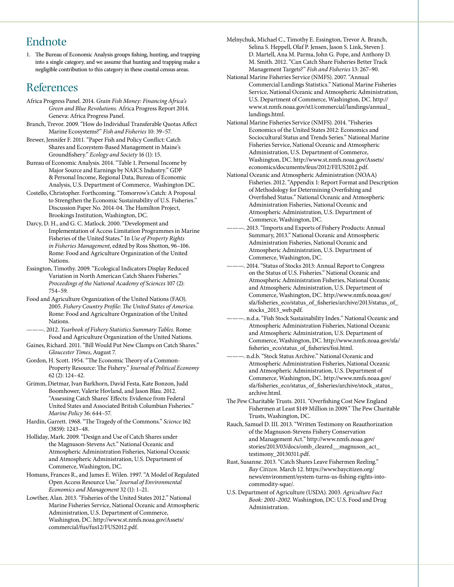# Endnote

1. The Bureau of Economic Analysis groups fishing, hunting, and trapping into a single category, and we assume that hunting and trapping make a negligible contribution to this category in these coastal census areas.

### References

- Africa Progress Panel. 2014. *Grain Fish Money: Financing Africa's Green and Blue Revolutions.* Africa Progress Report 2014. Geneva: Africa Progress Panel.
- Branch, Trevor. 2009. "How do Individual Transferable Quotas Affect Marine Ecosystems?" *Fish and Fisheries* 10: 39–57.
- Brewer, Jennifer F. 2011. "Paper Fish and Policy Conflict: Catch Shares and Ecosystem-Based Management in Maine's Groundfishery." *Ecology and Society* 16 (1): 15.
- Bureau of Economic Analysis. 2014. "Table 1. Personal Income by Major Source and Earnings by NAICS Industry." GDP & Personal Income, Regional Data, Bureau of Economic Analysis, U.S. Department of Commerce, Washington DC.
- Costello, Christopher. Forthcoming. "Tomorrow's Catch: A Proposal to Strengthen the Economic Sustainability of U.S. Fisheries." Discussion Paper No. 2014-04. The Hamilton Project, Brookings Institution, Washington, DC.
- Darcy, D. H., and G. C. Matlock. 2000. "Development and Implementation of Access Limitation Programmes in Marine Fisheries of the United States." In *Use of Property Rights in Fisheries Management*, edited by Ross Shotton, 96–106. Rome: Food and Agriculture Organization of the United Nations.
- Essington, Timothy. 2009. "Ecological Indicators Display Reduced Variation in North American Catch Shares Fisheries." *Proceedings of the National Academy of Sciences* 107 (2): 754–59.
- Food and Agriculture Organization of the United Nations (FAO). 2005. *Fishery Country Profile: The United States of America.*  Rome: Food and Agriculture Organization of the United Nations.
- ———. 2012. *Yearbook of Fishery Statistics Summary Tables.* Rome: Food and Agriculture Organization of the United Nations.
- Gaines, Richard. 2011. "Bill Would Put New Clamps on Catch Shares." *Gloucester Times*, August 7.
- Gordon, H. Scott. 1954. "The Economic Theory of a Common-Property Resource: The Fishery." *Journal of Political Economy* 62 (2): 124–42.
- Grimm, Dietmar, Ivan Barkhorn, David Festa, Kate Bonzon, Judd Boomhower, Valerie Hovland, and Jason Blau. 2012. "Assessing Catch Shares' Effects: Evidence from Federal United States and Associated British Columbian Fisheries." *Marine Policy* 36: 644–57.
- Hardin, Garrett. 1968. "The Tragedy of the Commons." *Science* 162 (3859): 1243–48.
- Holliday, Mark. 2009. "Design and Use of Catch Shares under the Magnuson-Stevens Act." National Oceanic and Atmospheric Administration Fisheries, National Oceanic and Atmospheric Administration, U.S. Department of Commerce, Washington, DC.
- Homans, Frances R., and James E. Wilen. 1997. "A Model of Regulated Open Access Resource Use." *Journal of Environmental Economics and Management* 32 (1): 1–21.
- Lowther, Alan. 2013. "Fisheries of the United States 2012." National Marine Fisheries Service, National Oceanic and Atmospheric Administration, U.S. Department of Commerce, Washington, DC. http://www.st.nmfs.noaa.gov/Assets/ commercial/fus/fus12/FUS2012.pdf.
- Melnychuk, Michael C., Timothy E. Essington, Trevor A. Branch, Selina S. Heppell, Olaf P. Jensen, Jason S. Link, Steven J. D. Martell, Ana M. Parma, John G. Pope, and Anthony D. M. Smith. 2012. "Can Catch Share Fisheries Better Track Management Targets?" *Fish and Fisheries* 13: 267–90.
- National Marine Fisheries Service (NMFS). 2007. "Annual Commercial Landings Statistics." National Marine Fisheries Service, National Oceanic and Atmospheric Administration, U.S. Department of Commerce, Washington, DC. http:// www.st.nmfs.noaa.gov/st1/commercial/landings/annual\_ landings.html.
- National Marine Fisheries Service (NMFS). 2014. "Fisheries Economics of the United States 2012: Economics and Sociocultural Status and Trends Series." National Marine Fisheries Service, National Oceanic and Atmospheric Administration, U.S. Department of Commerce, Washington, DC. http://www.st.nmfs.noaa.gov/Assets/ economics/documents/feus/2012/FEUS2012.pdf.
- National Oceanic and Atmospheric Administration (NOAA) Fisheries. 2012. "Appendix 1: Report Format and Description of Methodology for Determining Overfishing and Overfished Status." National Oceanic and Atmospheric Administration Fisheries, National Oceanic and Atmospheric Administration, U.S. Department of Commerce, Washington, DC.
	- 2013. "Imports and Exports of Fishery Products: Annual Summary, 2013." National Oceanic and Atmospheric Administration Fisheries, National Oceanic and Atmospheric Administration, U.S. Department of Commerce, Washington, DC.
	- 2014. "Status of Stocks 2013: Annual Report to Congress on the Status of U.S. Fisheries." National Oceanic and Atmospheric Administration Fisheries, National Oceanic and Atmospheric Administration, U.S. Department of Commerce, Washington, DC. http://www.nmfs.noaa.gov/ sfa/fisheries\_eco/status\_of\_fisheries/archive/2013/status\_of\_ stocks\_2013\_web.pdf.
- n.d.a. "Fish Stock Sustainability Index." National Oceanic and Atmospheric Administration Fisheries, National Oceanic and Atmospheric Administration, U.S. Department of Commerce, Washington, DC. http://www.nmfs.noaa.gov/sfa/ fisheries\_eco/status\_of\_fisheries/fssi.html.
- ———. n.d.b. "Stock Status Archive." National Oceanic and Atmospheric Administration Fisheries, National Oceanic and Atmospheric Administration, U.S. Department of Commerce, Washington, DC. http://www.nmfs.noaa.gov/ sfa/fisheries\_eco/status\_of\_fisheries/archive/stock\_status\_ archive.html.
- The Pew Charitable Trusts. 2011. "Overfishing Cost New England Fishermen at Least \$149 Million in 2009." The Pew Charitable Trusts, Washington, DC.
- Rauch, Samuel D. III. 2013. "Written Testimony on Reauthorization of the Magnuson-Stevens Fishery Conservation and Management Act." http://www.nmfs.noaa.gov/ stories/2013/03/docs/omb\_cleared\_\_magnuson\_act\_ testimony\_20130311.pdf.
- Rust, Susanne. 2013. "Catch Shares Leave Fishermen Reeling." *Bay Citizen*. March 12. https://www.baycitizen.org/ news/environment/system-turns-us-fishing-rights-intocommodity-sque/.
- U.S. Department of Agriculture (USDA). 2003. *Agriculture Fact Book: 2001–2002*. Washington, DC: U.S. Food and Drug Administration.